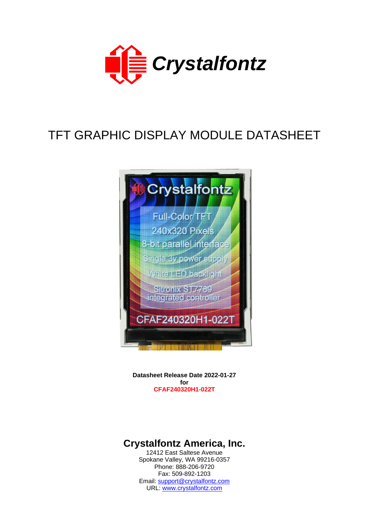

# TFT GRAPHIC DISPLAY MODULE DATASHEET



**Datasheet Release Date 2022-01-27 for CFAF240320H1-022T**

# **Crystalfontz America, Inc.**

12412 East Saltese Avenue Spokane Valley, WA 99216-0357 Phone: 888-206-9720 Fax: 509-892-1203 Email: [support@crystalfontz.com](mailto:support@crystalfontz.com) URL: [www.crystalfontz.com](http://www.crystalfontz.com/)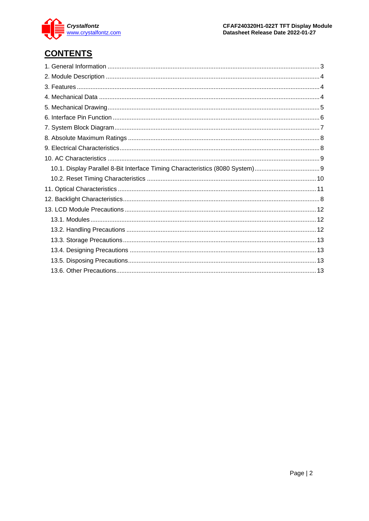

# **CONTENTS**

| 10.1. Display Parallel 8-Bit Interface Timing Characteristics (8080 System)9 |  |
|------------------------------------------------------------------------------|--|
|                                                                              |  |
|                                                                              |  |
|                                                                              |  |
|                                                                              |  |
|                                                                              |  |
|                                                                              |  |
|                                                                              |  |
|                                                                              |  |
|                                                                              |  |
|                                                                              |  |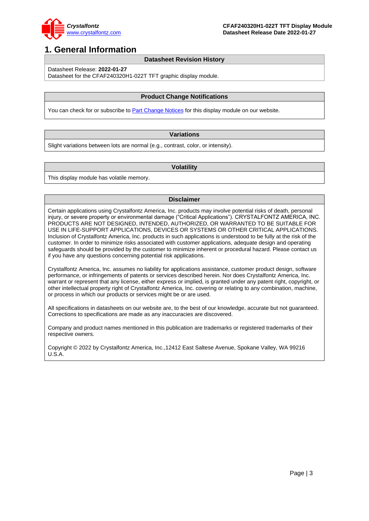

## <span id="page-2-0"></span>**1. General Information**

#### **Datasheet Revision History**

Datasheet Release: **2022-01-27**

Datasheet for the CFAF240320H1-022T TFT graphic display module.

#### **Product Change Notifications**

You can check for or subscribe to [Part Change Notices](https://www.crystalfontz.com/news/pcn.php) for this display module on our website.

### **Variations**

Slight variations between lots are normal (e.g., contrast, color, or intensity).

#### **Volatility**

This display module has volatile memory.

#### **Disclaimer**

Certain applications using Crystalfontz America, Inc. products may involve potential risks of death, personal injury, or severe property or environmental damage ("Critical Applications"). CRYSTALFONTZ AMERICA, INC. PRODUCTS ARE NOT DESIGNED, INTENDED, AUTHORIZED, OR WARRANTED TO BE SUITABLE FOR USE IN LIFE-SUPPORT APPLICATIONS, DEVICES OR SYSTEMS OR OTHER CRITICAL APPLICATIONS. Inclusion of Crystalfontz America, Inc. products in such applications is understood to be fully at the risk of the customer. In order to minimize risks associated with customer applications, adequate design and operating safeguards should be provided by the customer to minimize inherent or procedural hazard. Please contact us if you have any questions concerning potential risk applications.

Crystalfontz America, Inc. assumes no liability for applications assistance, customer product design, software performance, or infringements of patents or services described herein. Nor does Crystalfontz America, Inc. warrant or represent that any license, either express or implied, is granted under any patent right, copyright, or other intellectual property right of Crystalfontz America, Inc. covering or relating to any combination, machine, or process in which our products or services might be or are used.

All specifications in datasheets on our website are, to the best of our knowledge, accurate but not guaranteed. Corrections to specifications are made as any inaccuracies are discovered.

Company and product names mentioned in this publication are trademarks or registered trademarks of their respective owners.

Copyright © 2022 by Crystalfontz America, Inc.,12412 East Saltese Avenue, Spokane Valley, WA 99216 U.S.A.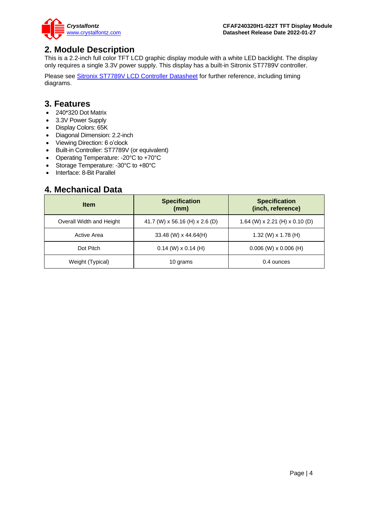

## <span id="page-3-0"></span>**2. Module Description**

This is a 2.2-inch full color TFT LCD graphic display module with a white LED backlight. The display only requires a single 3.3V power supply. This display has a built-in Sitronix ST7789V controller.

Please see [Sitronix ST7789V LCD Controller Datasheet](https://www.crystalfontz.com/controllers/Sitronix/ST7789V/) for further reference, including timing diagrams.

## <span id="page-3-1"></span>**3. Features**

- 240\*320 Dot Matrix
- 3.3V Power Supply
- Display Colors: 65K
- Diagonal Dimension: 2.2-inch
- Viewing Direction: 6 o'clock
- Built-in Controller: ST7789V (or equivalent)
- Operating Temperature: -20°C to +70°C
- Storage Temperature: -30°C to +80°C
- Interface: 8-Bit Parallel

## <span id="page-3-2"></span>**4. Mechanical Data**

| <b>Item</b>              | <b>Specification</b><br>(mm)   | <b>Specification</b><br>(inch, reference) |  |  |
|--------------------------|--------------------------------|-------------------------------------------|--|--|
| Overall Width and Height | 41.7 (W) x 56.16 (H) x 2.6 (D) | 1.64 (W) x 2.21 (H) x 0.10 (D)            |  |  |
| Active Area              | 33.48 (W) x 44.64(H)           | 1.32 (W) $\times$ 1.78 (H)                |  |  |
| Dot Pitch                | $0.14$ (W) x 0.14 (H)          | $0.006$ (W) x 0.006 (H)                   |  |  |
| Weight (Typical)         | 10 grams                       | 0.4 ounces                                |  |  |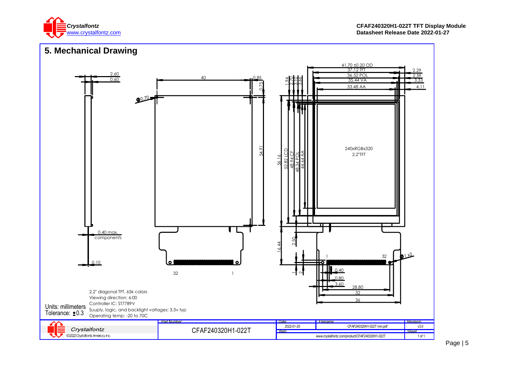

<span id="page-4-0"></span>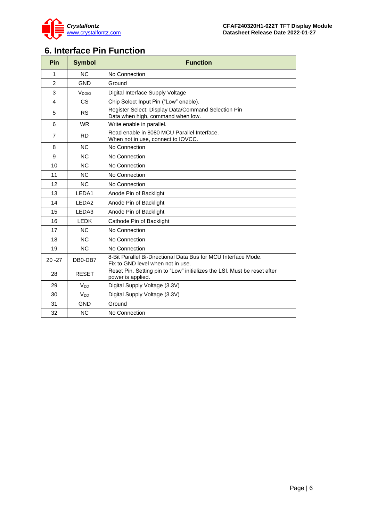

# <span id="page-5-0"></span>**6. Interface Pin Function**

<span id="page-5-1"></span>

| Pin            | <b>Symbol</b>     | <b>Function</b>                                                                                     |
|----------------|-------------------|-----------------------------------------------------------------------------------------------------|
| 1              | NC                | No Connection                                                                                       |
| $\overline{2}$ | <b>GND</b>        | Ground                                                                                              |
| 3              | V <sub>DDIO</sub> | Digital Interface Supply Voltage                                                                    |
| $\overline{4}$ | <b>CS</b>         | Chip Select Input Pin ("Low" enable).                                                               |
| 5              | <b>RS</b>         | Register Select: Display Data/Command Selection Pin<br>Data when high, command when low.            |
| 6              | <b>WR</b>         | Write enable in parallel.                                                                           |
| $\overline{7}$ | <b>RD</b>         | Read enable in 8080 MCU Parallel Interface.<br>When not in use, connect to IOVCC.                   |
| 8              | <b>NC</b>         | No Connection                                                                                       |
| 9              | <b>NC</b>         | No Connection                                                                                       |
| 10             | <b>NC</b>         | No Connection                                                                                       |
| 11             | <b>NC</b>         | No Connection                                                                                       |
| 12             | <b>NC</b>         | No Connection                                                                                       |
| 13             | LEDA1             | Anode Pin of Backlight                                                                              |
| 14             | LEDA <sub>2</sub> | Anode Pin of Backlight                                                                              |
| 15             | LEDA3             | Anode Pin of Backlight                                                                              |
| 16             | <b>LEDK</b>       | Cathode Pin of Backlight                                                                            |
| 17             | <b>NC</b>         | No Connection                                                                                       |
| 18             | N <sub>C</sub>    | No Connection                                                                                       |
| 19             | <b>NC</b>         | No Connection                                                                                       |
| $20 - 27$      | DB0-DB7           | 8-Bit Parallel Bi-Directional Data Bus for MCU Interface Mode.<br>Fix to GND level when not in use. |
| 28             | <b>RESET</b>      | Reset Pin. Setting pin to "Low" initializes the LSI. Must be reset after<br>power is applied.       |
| 29             | V <sub>DD</sub>   | Digital Supply Voltage (3.3V)                                                                       |
| 30             | V <sub>DD</sub>   | Digital Supply Voltage (3.3V)                                                                       |
| 31             | <b>GND</b>        | Ground                                                                                              |
| 32             | <b>NC</b>         | No Connection                                                                                       |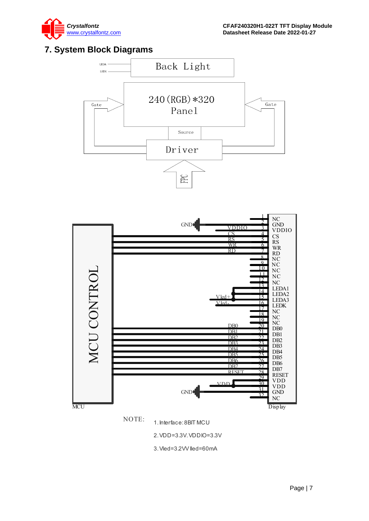

# **7. System Block Diagrams**





NOTE: 1. Interface: 8BIT MCU<br>2. VDD=3.3V. VDDIO=3.3V<br>3. Vled=3.2VV lled=60mA

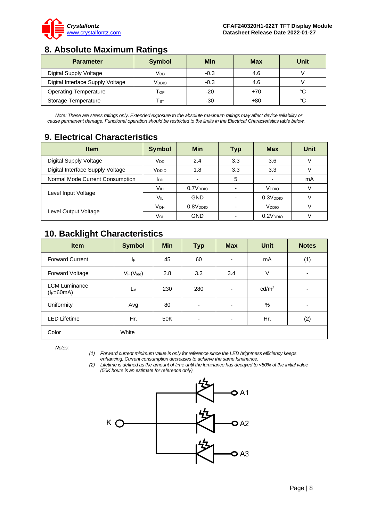

# <span id="page-7-0"></span>**8. Absolute Maximum Ratings**

| <b>Parameter</b>                 | <b>Symbol</b>              | Min    | Max   | Unit |
|----------------------------------|----------------------------|--------|-------|------|
| Digital Supply Voltage           | Vdd                        | $-0.3$ | 4.6   |      |
| Digital Interface Supply Voltage | V <sub>DDIO</sub>          | $-0.3$ | 4.6   |      |
| <b>Operating Temperature</b>     | $\mathsf{T}_{\mathsf{OP}}$ | -20    | $+70$ | °C   |
| Storage Temperature              | Тsт                        | -30    | $+80$ | °C   |

*Note: These are stress ratings only. Extended exposure to the absolute maximum ratings may affect device reliability or cause permanent damage. Functional operation should be restricted to the limits in the Electrical Characteristics table below.*

# <span id="page-7-1"></span>**9. Electrical Characteristics**

| <b>Item</b>                      | <b>Symbol</b>     | Min                      | <b>Typ</b> | <b>Max</b>           | Unit |
|----------------------------------|-------------------|--------------------------|------------|----------------------|------|
| Digital Supply Voltage           | V <sub>DD</sub>   | 2.4                      | 3.3        | 3.6                  |      |
| Digital Interface Supply Voltage | V <sub>DDIO</sub> | 1.8                      | 3.3        | 3.3                  |      |
| Normal Mode Current Consumption  | <b>I</b> DD       | $\overline{\phantom{a}}$ | 5          | ٠                    | mA   |
|                                  | Vıн               | 0.7V <sub>DDIO</sub>     |            | V <sub>DDIO</sub>    |      |
| Level Input Voltage              | VIL               | <b>GND</b>               |            | 0.3V <sub>DDO</sub>  |      |
|                                  | V <sub>OH</sub>   | 0.8V <sub>DDO</sub>      |            | V <sub>DDIO</sub>    |      |
| Level Output Voltage             | Vol               | <b>GND</b>               |            | 0.2V <sub>DDIO</sub> |      |

# <span id="page-7-2"></span>**10. Backlight Characteristics**

| <b>Item</b>                          | <b>Symbol</b>         | <b>Min</b> | <b>Typ</b>               | <b>Max</b>               | <b>Unit</b>       | <b>Notes</b>             |
|--------------------------------------|-----------------------|------------|--------------------------|--------------------------|-------------------|--------------------------|
| <b>Forward Current</b>               | IF                    | 45         | 60                       | $\overline{\phantom{a}}$ | mA                | (1)                      |
| Forward Voltage                      | $V_F(V_{\text{led}})$ | 2.8        | 3.2                      | 3.4                      | $\vee$            | $\overline{\phantom{a}}$ |
| <b>LCM Luminance</b><br>$(I_F=60mA)$ | $L_V$                 | 230        | 280                      | $\overline{\phantom{a}}$ | cd/m <sup>2</sup> | ٠                        |
| Uniformity                           | Avg                   | 80         | ٠                        | $\overline{\phantom{a}}$ | %                 | ٠                        |
| <b>LED Lifetime</b>                  | Hr.                   | 50K        | $\overline{\phantom{a}}$ | $\overline{\phantom{a}}$ | Hr.               | (2)                      |
| Color                                | White                 |            |                          |                          |                   |                          |

*Notes:*

*(1) Forward current minimum value is only for reference since the LED brightness efficiency keeps enhancing. Current consumption decreases to achieve the same luminance.* 

*(2) Lifetime is defined as the amount of time until the luminance has decayed to <50% of the initial value (50K hours is an estimate for reference only).*

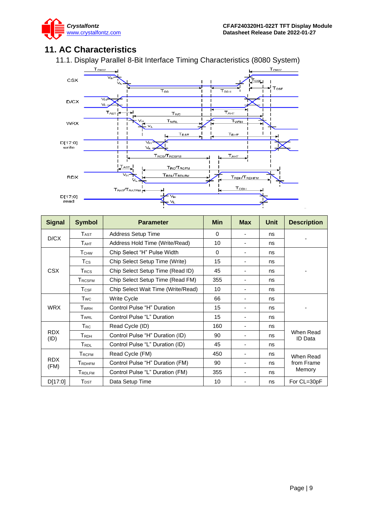# <span id="page-8-1"></span><span id="page-8-0"></span>**11. AC Characteristics**





| <b>Signal</b>          | <b>Symbol</b>             | <b>Parameter</b>                   | <b>Min</b> | <b>Max</b>               | Unit | <b>Description</b>   |  |
|------------------------|---------------------------|------------------------------------|------------|--------------------------|------|----------------------|--|
| D/CX                   | $T_{\rm AST}$             | <b>Address Setup Time</b>          | $\Omega$   |                          | ns   |                      |  |
|                        | T <sub>AHT</sub>          | Address Hold Time (Write/Read)     | 10         |                          | ns   |                      |  |
|                        | <b>T</b> <sub>CHW</sub>   | Chip Select "H" Pulse Width        | $\Omega$   | $\overline{\phantom{0}}$ | ns   |                      |  |
|                        | T <sub>cs</sub>           | Chip Select Setup Time (Write)     | 15         | ٠                        | ns   |                      |  |
| <b>CSX</b>             | <b>TRCS</b>               | Chip Select Setup Time (Read ID)   | 45         | -                        | ns   |                      |  |
|                        | <b>TRCSFM</b>             | Chip Select Setup Time (Read FM)   | 355        | -                        | ns   |                      |  |
|                        | $T_{\mathsf{CSF}}$        | Chip Select Wait Time (Write/Read) | 10         | $\overline{\phantom{0}}$ | ns   |                      |  |
|                        | Twc                       | <b>Write Cycle</b>                 | 66         |                          | ns   |                      |  |
| <b>WRX</b>             | $T_{\scriptstyle\rm WRH}$ | Control Pulse "H" Duration         | 15         |                          | ns   |                      |  |
|                        | TWRL                      | Control Pulse "L" Duration         | 15         |                          | ns   |                      |  |
| <b>T</b> <sub>RC</sub> |                           | Read Cycle (ID)                    | 160        |                          | ns   |                      |  |
| <b>RDX</b><br>(ID)     | <b>T</b> <sub>RDH</sub>   | Control Pulse "H" Duration (ID)    | 90         |                          | ns   | When Read<br>ID Data |  |
|                        | T <sub>RDL</sub>          | Control Pulse "L" Duration (ID)    | 45         |                          | ns   |                      |  |
|                        | <b>TRCFM</b>              | Read Cycle (FM)                    | 450        | -                        | ns   | When Read            |  |
| <b>RDX</b><br>(FM)     | <b>TRDHFM</b>             | Control Pulse "H" Duration (FM)    | 90         | -                        | ns   | from Frame<br>Memory |  |
|                        | <b>TRDLFM</b>             | Control Pulse "L" Duration (FM)    | 355        |                          | ns   |                      |  |
| D[17:0]                | $T_{\text{DST}}$          | Data Setup Time                    | 10         |                          | ns   | For CL=30pF          |  |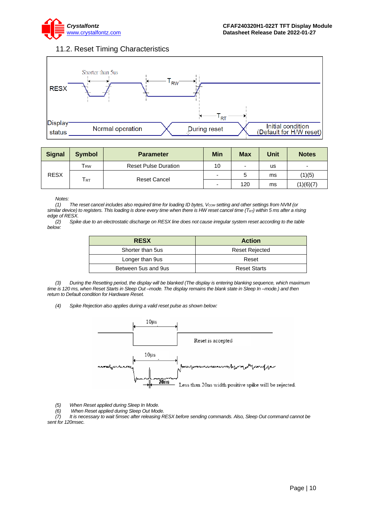

### 11.2. Reset Timing Characteristics

<span id="page-9-0"></span>

| <b>Signal</b> | <b>Symbol</b>              | <b>Parameter</b>            | Min                      | <b>Max</b>               | Unit | <b>Notes</b>             |
|---------------|----------------------------|-----------------------------|--------------------------|--------------------------|------|--------------------------|
| <b>RESX</b>   | <b>T</b> <sub>RW</sub>     | <b>Reset Pulse Duration</b> | 10                       | $\overline{\phantom{0}}$ | us   | $\overline{\phantom{a}}$ |
|               |                            | <b>Reset Cancel</b>         |                          |                          | ms   | (1)(5)                   |
|               | $\mathsf{T}_{\mathsf{RT}}$ |                             | $\overline{\phantom{0}}$ | 120                      | ms   | (1)(6)(7)                |

#### *Notes:*

*(1) The reset cancel includes also required time for loading ID bytes, VCOM setting and other settings from NVM (or similar device) to registers. This loading is done every time when there is HW reset cancel time (TRT) within 5 ms after a rising edge of RESX.*

*(2) Spike due to an electrostatic discharge on RESX line does not cause irregular system reset according to the table below:*

| <b>RESX</b>         | <b>Action</b>         |
|---------------------|-----------------------|
| Shorter than 5us    | <b>Reset Rejected</b> |
| Longer than 9us     | Reset                 |
| Between 5us and 9us | <b>Reset Starts</b>   |

*(3) During the Resetting period, the display will be blanked (The display is entering blanking sequence, which maximum time is 120 ms, when Reset Starts in Sleep Out –mode. The display remains the blank state in Sleep In –mode.) and then return to Default condition for Hardware Reset.*

*(4) Spike Rejection also applies during a valid reset pulse as shown below:*



*(5) When Reset applied during Sleep In Mode.*

*(6) When Reset applied during Sleep Out Mode. (7) It is necessary to wait 5msec after releasing RESX before sending commands. Also, Sleep Out command cannot be sent for 120msec.*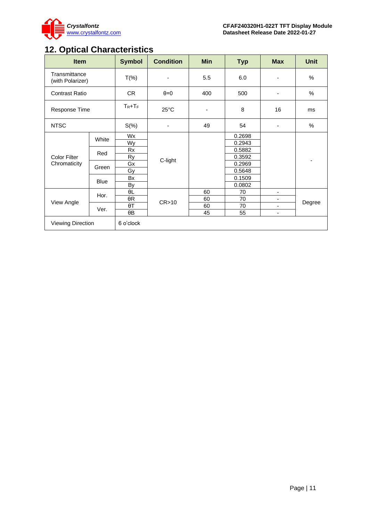

# <span id="page-10-0"></span>**12. Optical Characteristics**

| <b>Item</b>                       |             | <b>Symbol</b> | <b>Condition</b>         | <b>Min</b>               | <b>Typ</b>       | <b>Max</b>               | <b>Unit</b> |
|-----------------------------------|-------------|---------------|--------------------------|--------------------------|------------------|--------------------------|-------------|
| Transmittance<br>(with Polarizer) |             | $T(\%)$       | $\overline{\phantom{a}}$ | 5.5                      | 6.0              |                          | $\%$        |
| <b>Contrast Ratio</b>             |             | CR            | $\theta = 0$             | 400                      | 500              | ٠                        | $\%$        |
| Response Time                     |             | $T_R + T_F$   | $25^{\circ}$ C           | $\overline{\phantom{a}}$ | 8                | 16                       | ms          |
| <b>NTSC</b>                       |             | $S(\%)$       |                          | 49                       | 54               |                          | $\%$        |
|                                   | White       | Wx<br>Wy      |                          |                          | 0.2698<br>0.2943 |                          |             |
| <b>Color Filter</b>               | Red         | Rx<br>Ry      | C-light                  |                          | 0.5882<br>0.3592 |                          |             |
| Chromaticity                      | Green       | Gx<br>Gy      |                          |                          | 0.2969<br>0.5648 |                          |             |
|                                   | <b>Blue</b> | Bx<br>By      |                          |                          | 0.1509<br>0.0802 |                          |             |
|                                   |             | θL            |                          | 60                       | 70               | $\blacksquare$           |             |
| View Angle                        | Hor.        | $\theta R$    | CR > 10                  | 60                       | 70               |                          | Degree      |
|                                   | Ver.        | $\theta T$    |                          | 60                       | 70               |                          |             |
|                                   |             | θΒ            |                          | 45                       | 55               | $\overline{\phantom{a}}$ |             |
| Viewing Direction                 |             | 6 o'clock     |                          |                          |                  |                          |             |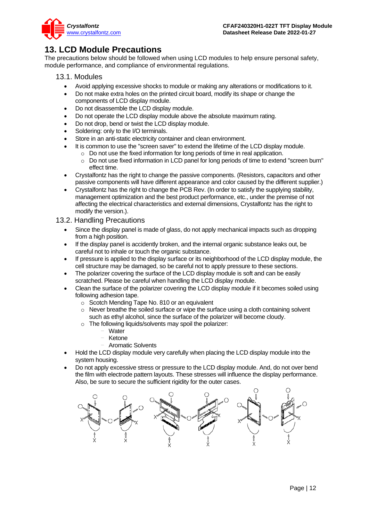

# <span id="page-11-0"></span>**13. LCD Module Precautions**

The precautions below should be followed when using LCD modules to help ensure personal safety, module performance, and compliance of environmental regulations.

### <span id="page-11-1"></span>13.1. Modules

- Avoid applying excessive shocks to module or making any alterations or modifications to it.
- Do not make extra holes on the printed circuit board, modify its shape or change the components of LCD display module.
- Do not disassemble the LCD display module.
- Do not operate the LCD display module above the absolute maximum rating.
- Do not drop, bend or twist the LCD display module.
- Soldering: only to the I/O terminals.
- Store in an anti-static electricity container and clean environment.
- It is common to use the "screen saver" to extend the lifetime of the LCD display module.
	- $\circ$  Do not use the fixed information for long periods of time in real application.
	- o Do not use fixed information in LCD panel for long periods of time to extend "screen burn" effect time.
- Crystalfontz has the right to change the passive components. (Resistors, capacitors and other passive components will have different appearance and color caused by the different supplier.)
- Crystalfontz has the right to change the PCB Rev. (In order to satisfy the supplying stability, management optimization and the best product performance, etc., under the premise of not affecting the electrical characteristics and external dimensions, Crystalfontz has the right to modify the version.).

### <span id="page-11-2"></span>13.2. Handling Precautions

- Since the display panel is made of glass, do not apply mechanical impacts such as dropping from a high position.
- If the display panel is accidently broken, and the internal organic substance leaks out, be careful not to inhale or touch the organic substance.
- If pressure is applied to the display surface or its neighborhood of the LCD display module, the cell structure may be damaged, so be careful not to apply pressure to these sections.
- The polarizer covering the surface of the LCD display module is soft and can be easily scratched. Please be careful when handling the LCD display module.
- Clean the surface of the polarizer covering the LCD display module if it becomes soiled using following adhesion tape.
	- o Scotch Mending Tape No. 810 or an equivalent
	- $\circ$  Never breathe the soiled surface or wipe the surface using a cloth containing solvent such as ethyl alcohol, since the surface of the polarizer will become cloudy.
	- o The following liquids/solvents may spoil the polarizer:
		- **Water**
		- **Ketone**
		- Aromatic Solvents
- Hold the LCD display module very carefully when placing the LCD display module into the system housing.
- Do not apply excessive stress or pressure to the LCD display module. And, do not over bend the film with electrode pattern layouts. These stresses will influence the display performance. Also, be sure to secure the sufficient rigidity for the outer cases.

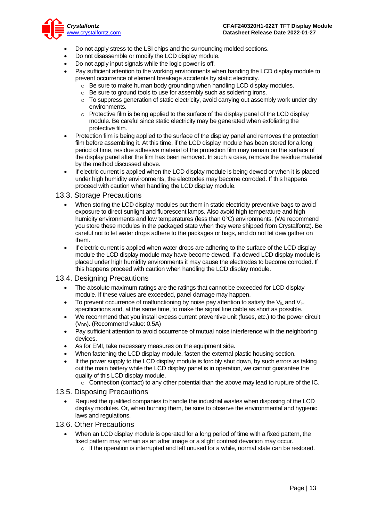

- Do not apply stress to the LSI chips and the surrounding molded sections.
- Do not disassemble or modify the LCD display module.
- Do not apply input signals while the logic power is off.
- Pay sufficient attention to the working environments when handing the LCD display module to prevent occurrence of element breakage accidents by static electricity.
	- $\circ$  Be sure to make human body grounding when handling LCD display modules.
	- o Be sure to ground tools to use for assembly such as soldering irons.
	- $\circ$  To suppress generation of static electricity, avoid carrying out assembly work under dry environments.
	- $\circ$  Protective film is being applied to the surface of the display panel of the LCD display module. Be careful since static electricity may be generated when exfoliating the protective film.
- Protection film is being applied to the surface of the display panel and removes the protection film before assembling it. At this time, if the LCD display module has been stored for a long period of time, residue adhesive material of the protection film may remain on the surface of the display panel after the film has been removed. In such a case, remove the residue material by the method discussed above.
- If electric current is applied when the LCD display module is being dewed or when it is placed under high humidity environments, the electrodes may become corroded. If this happens proceed with caution when handling the LCD display module.

#### <span id="page-12-0"></span>13.3. Storage Precautions

- When storing the LCD display modules put them in static electricity preventive bags to avoid exposure to direct sunlight and fluorescent lamps. Also avoid high temperature and high humidity environments and low temperatures (less than 0°C) environments. (We recommend you store these modules in the packaged state when they were shipped from Crystalfontz). Be careful not to let water drops adhere to the packages or bags, and do not let dew gather on them.
- If electric current is applied when water drops are adhering to the surface of the LCD display module the LCD display module may have become dewed. If a dewed LCD display module is placed under high humidity environments it may cause the electrodes to become corroded. If this happens proceed with caution when handling the LCD display module.

#### <span id="page-12-1"></span>13.4. Designing Precautions

- The absolute maximum ratings are the ratings that cannot be exceeded for LCD display module. If these values are exceeded, panel damage may happen.
- To prevent occurrence of malfunctioning by noise pay attention to satisfy the V<sub>IL</sub> and V<sub>IH</sub> specifications and, at the same time, to make the signal line cable as short as possible.
- We recommend that you install excess current preventive unit (fuses, etc.) to the power circuit  $(V<sub>DD</sub>)$ . (Recommend value: 0.5A)
- Pay sufficient attention to avoid occurrence of mutual noise interference with the neighboring devices.
- As for EMI, take necessary measures on the equipment side.
- When fastening the LCD display module, fasten the external plastic housing section.
- If the power supply to the LCD display module is forcibly shut down, by such errors as taking out the main battery while the LCD display panel is in operation, we cannot guarantee the quality of this LCD display module.
	- $\circ$  Connection (contact) to any other potential than the above may lead to rupture of the IC.

#### <span id="page-12-2"></span>13.5. Disposing Precautions

• Request the qualified companies to handle the industrial wastes when disposing of the LCD display modules. Or, when burning them, be sure to observe the environmental and hygienic laws and regulations.

#### <span id="page-12-3"></span>13.6. Other Precautions

- When an LCD display module is operated for a long period of time with a fixed pattern, the fixed pattern may remain as an after image or a slight contrast deviation may occur.
	- $\circ$  If the operation is interrupted and left unused for a while, normal state can be restored.